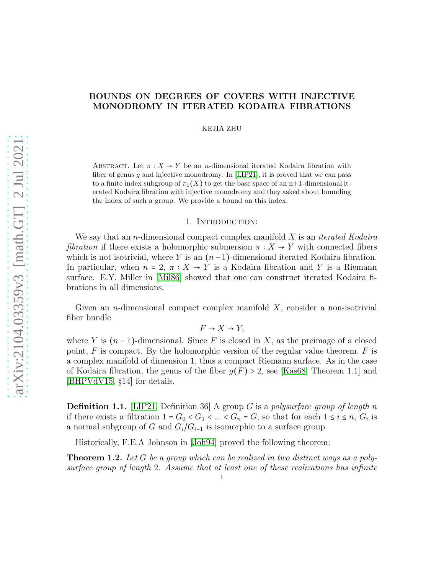# BOUNDS ON DEGREES OF COVERS WITH INJECTIVE MONODROMY IN ITERATED KODAIRA FIBRATIONS

KEJIA ZHU

ABSTRACT. Let  $\pi: X \to Y$  be an *n*-dimensional iterated Kodaira fibration with fiber of genus  $g$  and injective monodromy. In [\[LIP21\]](#page-20-0), it is proved that we can pass to a finite index subgroup of  $\pi_1(X)$  to get the base space of an n+1-dimensional iterated Kodaira fibration with injective monodromy and they asked about bounding the index of such a group. We provide a bound on this index.

#### 1. Introduction:

We say that an n-dimensional compact complex manifold X is an *iterated Kodaira fibration* if there exists a holomorphic submersion  $\pi : X \to Y$  with connected fibers which is not isotrivial, where Y is an  $(n-1)$ -dimensional iterated Kodaira fibration. In particular, when  $n = 2$ ,  $\pi : X \to Y$  is a Kodaira fibration and Y is a Riemann surface. E.Y. Miller in [\[Mil86\]](#page-20-1) showed that one can construct iterated Kodaira fibrations in all dimensions.

Given an *n*-dimensional compact complex manifold  $X$ , consider a non-isotrivial fiber bundle

 $F \rightarrow X \rightarrow Y$ .

where Y is  $(n-1)$ -dimensional. Since F is closed in X, as the preimage of a closed point,  $F$  is compact. By the holomorphic version of the regular value theorem,  $F$  is a complex manifold of dimension 1, thus a compact Riemann surface. As in the case of Kodaira fibration, the genus of the fiber  $g(F) > 2$ , see [\[Kas68,](#page-20-2) Theorem 1.1] and [\[BHPVdV15,](#page-20-3) §14] for details.

Definition 1.1. [\[LIP21,](#page-20-0) Definition 36] A group G is a *polysurface group of length* n if there exists a filtration  $1 = G_0 < G_1 < ... < G_n = G$ , so that for each  $1 \le i \le n$ ,  $G_i$  is a normal subgroup of G and  $G_i/G_{i-1}$  is isomorphic to a surface group.

Historically, F.E.A Johnson in [\[Joh94\]](#page-20-4) proved the following theorem:

Theorem 1.2. *Let* G *be a group which can be realized in two distinct ways as a polysurface group of length* 2*. Assume that at least one of these realizations has infinite*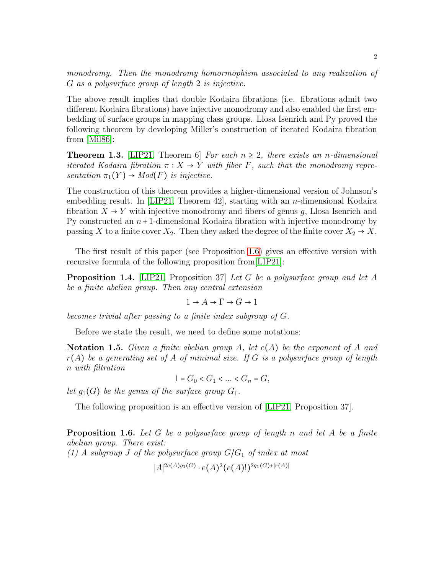*monodromy. Then the monodromy homormophism associated to any realization of* G *as a polysurface group of length* 2 *is injective.*

The above result implies that double Kodaira fibrations (i.e. fibrations admit two different Kodaira fibrations) have injective monodromy and also enabled the first embedding of surface groups in mapping class groups. Llosa Isenrich and Py proved the following theorem by developing Miller's construction of iterated Kodaira fibration from [\[Mil86\]](#page-20-1):

**Theorem 1.3.** [\[LIP21,](#page-20-0) Theorem 6] *For each*  $n \geq 2$ *, there exists an n-dimensional iterated Kodaira fibration*  $\pi : X \to Y$  *with fiber* F, such that the monodromy repre*sentation*  $\pi_1(Y) \rightarrow Mod(F)$  *is injective.* 

The construction of this theorem provides a higher-dimensional version of Johnson's embedding result. In [\[LIP21,](#page-20-0) Theorem 42], starting with an n-dimensional Kodaira fibration  $X \to Y$  with injective monodromy and fibers of genus g, Llosa Isenrich and Py constructed an  $n+1$ -dimensional Kodaira fibration with injective monodromy by passing X to a finite cover  $X_2$ . Then they asked the degree of the finite cover  $X_2 \rightarrow X$ .

The first result of this paper (see Proposition [1.6\)](#page-1-0) gives an effective version with recursive formula of the following proposition from[\[LIP21\]](#page-20-0):

Proposition 1.4. [\[LIP21,](#page-20-0) Proposition 37] *Let* G *be a polysurface group and let* A *be a finite abelian group. Then any central extension*

$$
1\to A\to \Gamma\to G\to 1
$$

*becomes trivial after passing to a finite index subgroup of* G*.*

Before we state the result, we need to define some notations:

Notation 1.5. *Given a finite abelian group* A*, let* e(A) *be the exponent of* A *and* r(A) *be a generating set of* A *of minimal size. If* G *is a polysurface group of length* n *with filtration*

 $1 = G_0 < G_1 < ... < G_n = G$ ,

*let*  $g_1(G)$  *be the genus of the surface group*  $G_1$ *.* 

The following proposition is an effective version of [\[LIP21,](#page-20-0) Proposition 37].

<span id="page-1-0"></span>Proposition 1.6. *Let* G *be a polysurface group of length* n *and let* A *be a finite abelian group. There exist:*  $(1)$  A subgroup *J* of the polysurface group  $G/G_1$  of index at most  $|A|^{2e(A)g_1(G)} \cdot e(A)^2(e(A)!)^{2g_1(G)+|r(A)|}$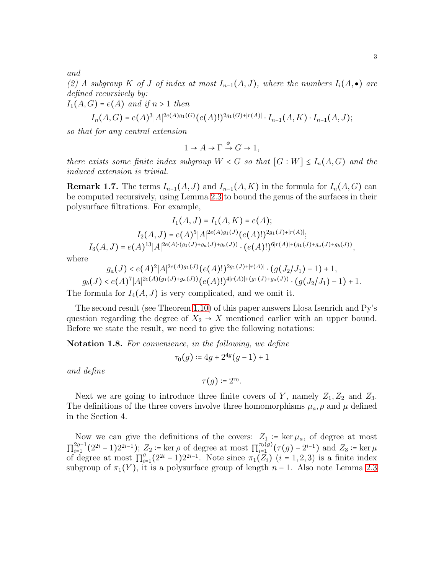*and*

(2) A subgroup K of J of index at most  $I_{n-1}(A, J)$ , where the numbers  $I_i(A, \bullet)$  are *defined recursively by:*

 $I_1(A, G) = e(A)$  *and if*  $n > 1$  *then* 

$$
I_n(A, G) = e(A)^3 |A|^{2e(A)g_1(G)} (e(A)!)^{2g_1(G)+|r(A)|} \cdot I_{n-1}(A, K) \cdot I_{n-1}(A, J);
$$

*so that for any central extension*

$$
1 \to A \to \Gamma \xrightarrow{\phi} G \to 1,
$$

*there exists some finite index subgroup*  $W < G$  *so that*  $[G : W] \leq I_n(A, G)$  *and the induced extension is trivial.*

<span id="page-2-0"></span>**Remark 1.7.** The terms  $I_{n-1}(A, J)$  and  $I_{n-1}(A, K)$  in the formula for  $I_n(A, G)$  can be computed recursively, using Lemma [2.3](#page-4-0) to bound the genus of the surfaces in their polysurface filtrations. For example,

$$
I_1(A, J) = I_1(A, K) = e(A);
$$
  
\n
$$
I_2(A, J) = e(A)^5 |A|^{2e(A)g_1(J)} (e(A)!)^{2g_1(J) + |r(A)|};
$$
  
\n
$$
I_3(A, J) = e(A)^{13} |A|^{2e(A) \cdot (g_1(J) + g_a(J) + g_b(J))} \cdot (e(A)!)^{6|r(A)| + (g_1(J) + g_a(J) + g_b(J))},
$$

where

$$
g_a(J) < e(A)^2 |A|^{2e(A)g_1(J)} (e(A)!)^{2g_1(J)+|r(A)|} \cdot (g(J_2/J_1) - 1) + 1,
$$
\n
$$
g_b(J) < e(A)^7 |A|^{2e(A)(g_1(J)+g_a(J))} (e(A)!)^{4|r(A)|+(g_1(J)+g_a(J))} \cdot (g(J_2/J_1) - 1) + 1.
$$

The formula for  $I_4(A, J)$  is very complicated, and we omit it.

The second result (see Theorem [1.10\)](#page-3-0) of this paper answers Llosa Isenrich and Py's question regarding the degree of  $X_2 \rightarrow X$  mentioned earlier with an upper bound. Before we state the result, we need to give the following notations:

Notation 1.8. *For convenience, in the following, we define*

$$
\tau_0(g) \coloneqq 4g + 2^{4g}(g-1) + 1
$$

*and define*

$$
\tau(g) \coloneqq 2^{\tau_0}.
$$

Next we are going to introduce three finite covers of Y, namely  $Z_1, Z_2$  and  $Z_3$ . The definitions of the three covers involve three homomorphisms  $\mu_a$ ,  $\rho$  and  $\mu$  defined in the Section 4.

Now we can give the definitions of the covers:  $Z_1$  := ker  $\mu_a$ , of degree at most  $\prod_{i=1}^{2g-1}$  $\mathcal{L}_{i=1}^{2g-1}(2^{2i}-1)2^{2i-1}); Z_2 \coloneqq \ker \rho \text{ of degree at most } \prod_{i=1}^{\tau_0(g)}(\tau(g)-2^{i-1}) \text{ and } Z_3 \coloneqq \ker \mu$ of degree at most  $\Pi_{i=1}^g(2^{2i}-1)2^{2i-1}$ . Note since  $\pi_1(Z_i)$   $(i=1,2,3)$  is a finite index subgroup of  $\pi_1(Y)$ , it is a polysurface group of length  $n-1$ . Also note Lemma [2.3](#page-4-0)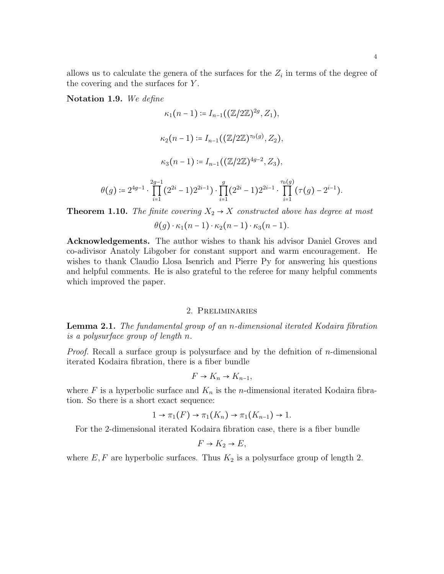allows us to calculate the genera of the surfaces for the  $Z_i$  in terms of the degree of the covering and the surfaces for Y .

Notation 1.9. *We define*

$$
\kappa_1(n-1) \coloneqq I_{n-1}((\mathbb{Z}/2\mathbb{Z})^{2g}, Z_1),
$$
  
\n
$$
\kappa_2(n-1) \coloneqq I_{n-1}((\mathbb{Z}/2\mathbb{Z})^{\tau_0(g)}, Z_2),
$$
  
\n
$$
\kappa_3(n-1) \coloneqq I_{n-1}((\mathbb{Z}/2\mathbb{Z})^{4g-2}, Z_3),
$$
  
\n
$$
\theta(g) \coloneqq 2^{4g-1} \cdot \prod_{i=1}^{2g-1} (2^{2i} - 1) 2^{2i-1} \cdot \prod_{i=1}^{g} (2^{2i} - 1) 2^{2i-1} \cdot \prod_{i=1}^{\tau_0(g)} (\tau(g) - 2^{i-1}).
$$
  
\n**n** 1 10. The finite converges  $X_{n} \to X$  constructed above has degree

<span id="page-3-0"></span>**Theorem 1.10.** The finite covering  $X_2 \rightarrow X$  constructed above has degree at most

 $\theta(q) \cdot \kappa_1(n-1) \cdot \kappa_2(n-1) \cdot \kappa_3(n-1).$ 

Acknowledgements. The author wishes to thank his advisor Daniel Groves and co-adivisor Anatoly Libgober for constant support and warm encouragement. He wishes to thank Claudio Llosa Isenrich and Pierre Py for answering his questions and helpful comments. He is also grateful to the referee for many helpful comments which improved the paper.

# 2. Preliminaries

Lemma 2.1. *The fundamental group of an* n*-dimensional iterated Kodaira fibration is a polysurface group of length* n*.*

*Proof.* Recall a surface group is polysurface and by the definition of  $n$ -dimensional iterated Kodaira fibration, there is a fiber bundle

$$
F \to K_n \to K_{n-1},
$$

where F is a hyperbolic surface and  $K_n$  is the *n*-dimensional iterated Kodaira fibration. So there is a short exact sequence:

$$
1 \to \pi_1(F) \to \pi_1(K_n) \to \pi_1(K_{n-1}) \to 1.
$$

For the 2-dimensional iterated Kodaira fibration case, there is a fiber bundle

$$
F \to K_2 \to E,
$$

where  $E, F$  are hyperbolic surfaces. Thus  $K_2$  is a polysurface group of length 2.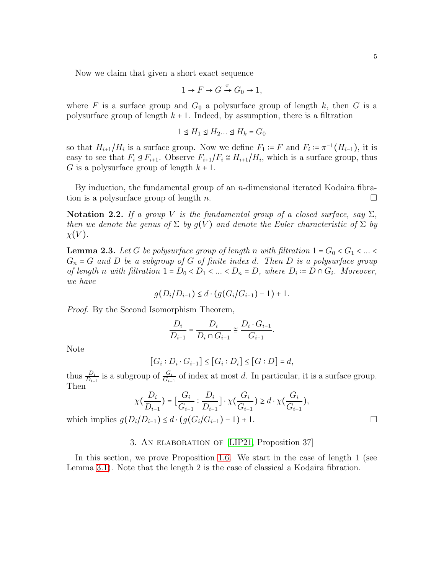Now we claim that given a short exact sequence

$$
1 \to F \to G \xrightarrow{\pi} G_0 \to 1,
$$

where F is a surface group and  $G_0$  a polysurface group of length k, then G is a polysurface group of length  $k + 1$ . Indeed, by assumption, there is a filtration

$$
1 \trianglelefteq H_1 \trianglelefteq H_2... \trianglelefteq H_k = G_0
$$

so that  $H_{i+1}/H_i$  is a surface group. Now we define  $F_1 = F$  and  $F_i = \pi^{-1}(H_{i-1})$ , it is easy to see that  $F_i \trianglelefteq F_{i+1}$ . Observe  $F_{i+1}/F_i \cong H_{i+1}/H_i$ , which is a surface group, thus G is a polysurface group of length  $k + 1$ .

By induction, the fundamental group of an *n*-dimensional iterated Kodaira fibration is a polysurface group of length n.

Notation 2.2. *If a group V is the fundamental group of a closed surface, say*  $\Sigma$ *, then we denote the genus of*  $\Sigma$  *by*  $g(V)$  *and denote the Euler characteristic of*  $\Sigma$  *by*  $\chi(V)$ .

<span id="page-4-0"></span>**Lemma 2.3.** Let G be polysurface group of length n with filtration  $1 = G_0 < G_1 < ... <$ G<sup>n</sup> = G *and* D *be a subgroup of* G *of finite index* d*. Then* D *is a polysurface group of length n* with filtration  $1 = D_0 < D_1 < ... < D_n = D$ , where  $D_i := D \cap G_i$ . Moreover, *we have*

$$
g(D_i/D_{i-1}) \le d \cdot (g(G_i/G_{i-1}) - 1) + 1.
$$

*Proof.* By the Second Isomorphism Theorem,

$$
\frac{D_i}{D_{i-1}} = \frac{D_i}{D_i \cap G_{i-1}} \cong \frac{D_i \cdot G_{i-1}}{G_{i-1}}.
$$

Note

$$
[G_i : D_i \cdot G_{i-1}] \leq [G_i : D_i] \leq [G : D] = d,
$$

thus  $\frac{D_i}{D_{i-1}}$  is a subgroup of  $\frac{G_i}{G_{i-1}}$  of index at most d. In particular, it is a surface group. Then

$$
\chi(\frac{D_i}{D_{i-1}}) = \left[\frac{G_i}{G_{i-1}} : \frac{D_i}{D_{i-1}}\right] \cdot \chi(\frac{G_i}{G_{i-1}}) \ge d \cdot \chi(\frac{G_i}{G_{i-1}}),
$$

which implies  $g(D_i/D_{i-1}) \leq d \cdot (g(G_i/G_{i-1}) - 1) + 1$ . □

## 3. An elaboration of [\[LIP21,](#page-20-0) Proposition 37]

In this section, we prove Proposition [1.6.](#page-1-0) We start in the case of length 1 (see Lemma [3.1\)](#page-5-0). Note that the length 2 is the case of classical a Kodaira fibration.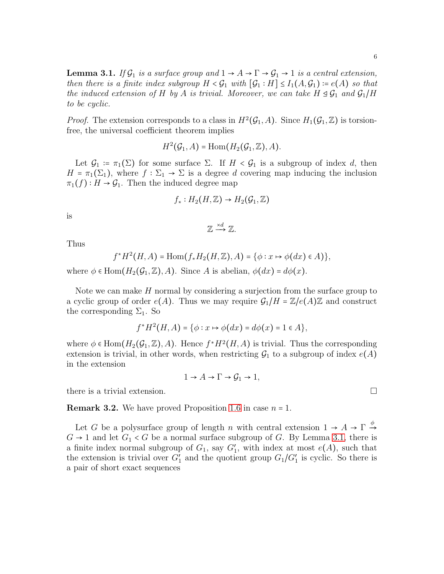<span id="page-5-0"></span>**Lemma 3.1.** *If*  $\mathcal{G}_1$  *is a surface group and*  $1 \rightarrow A \rightarrow \Gamma \rightarrow \mathcal{G}_1 \rightarrow 1$  *is a central extension, then there is a finite index subgroup*  $H < \mathcal{G}_1$  *with*  $[\mathcal{G}_1 : H] \leq I_1(A, \mathcal{G}_1) \coloneqq e(A)$  *so that the induced extension of* H *by* A *is trivial. Moreover, we can take*  $H \trianglelefteq \mathcal{G}_1$  *and*  $\mathcal{G}_1/H$ *to be cyclic.*

*Proof.* The extension corresponds to a class in  $H^2(\mathcal{G}_1, A)$ . Since  $H_1(\mathcal{G}_1, \mathbb{Z})$  is torsionfree, the universal coefficient theorem implies

$$
H^2(\mathcal{G}_1, A) = \text{Hom}(H_2(\mathcal{G}_1, \mathbb{Z}), A).
$$

Let  $\mathcal{G}_1 := \pi_1(\Sigma)$  for some surface  $\Sigma$ . If  $H < \mathcal{G}_1$  is a subgroup of index d, then  $H = \pi_1(\Sigma_1)$ , where  $f : \Sigma_1 \to \Sigma$  is a degree d covering map inducing the inclusion  $\pi_1(f): H \to \mathcal{G}_1$ . Then the induced degree map

$$
f_*: H_2(H, \mathbb{Z}) \to H_2(\mathcal{G}_1, \mathbb{Z})
$$

is

$$
\mathbb{Z} \xrightarrow{\times d} \mathbb{Z}.
$$

Thus

$$
f^*H^2(H, A) = \text{Hom}(f_*H_2(H, \mathbb{Z}), A) = \{ \phi : x \mapsto \phi(dx) \in A) \},
$$

where  $\phi \in \text{Hom}(H_2(\mathcal{G}_1, \mathbb{Z}), A)$ . Since A is abelian,  $\phi(dx) = d\phi(x)$ .

Note we can make H normal by considering a surjection from the surface group to a cyclic group of order  $e(A)$ . Thus we may require  $\mathcal{G}_1/H = \mathbb{Z}/e(A)\mathbb{Z}$  and construct the corresponding  $\Sigma_1$ . So

$$
f^*H^2(H, A) = \{ \phi : x \mapsto \phi(dx) = d\phi(x) = 1 \in A \},
$$

where  $\phi \in \text{Hom}(H_2(\mathcal{G}_1, \mathbb{Z}), A)$ . Hence  $f^*H^2(H, A)$  is trivial. Thus the corresponding extension is trivial, in other words, when restricting  $\mathcal{G}_1$  to a subgroup of index  $e(A)$ in the extension

$$
1 \to A \to \Gamma \to \mathcal{G}_1 \to 1,
$$

there is a trivial extension.

**Remark 3.2.** We have proved Proposition [1.6](#page-1-0) in case  $n = 1$ .

Let G be a polysurface group of length n with central extension  $1 \to A \to \Gamma \stackrel{\phi}{\to}$  $G \rightarrow 1$  and let  $G_1 \prec G$  be a normal surface subgroup of G. By Lemma [3.1,](#page-5-0) there is a finite index normal subgroup of  $G_1$ , say  $G'_1$ , with index at most  $e(A)$ , such that the extension is trivial over  $G'_{1}$  and the quotient group  $G_{1}/G'_{1}$  is cyclic. So there is a pair of short exact sequences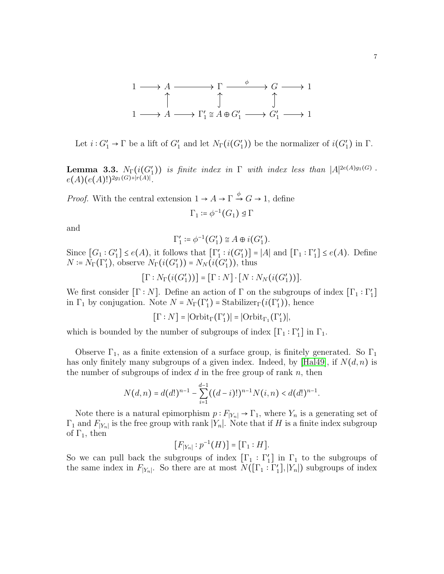

Let  $i: G'_1 \to \Gamma$  be a lift of  $G'_1$  and let  $N_{\Gamma}(i(G'_1))$  be the normalizer of  $i(G'_1)$  in  $\Gamma$ .

<span id="page-6-0"></span>**Lemma 3.3.**  $N_{\Gamma}(i(G'_1))$  is finite index in  $\Gamma$  with index less than  $|A|^{2e(A)g_1(G)}$ .  $e(A)(e(A)!)^{2g_1(G)+|r(A)|}.$ 

*Proof.* With the central extension  $1 \rightarrow A \rightarrow \Gamma \stackrel{\phi}{\rightarrow} G \rightarrow 1$ , define

$$
\Gamma_1 \coloneqq \phi^{-1}(G_1) \trianglelefteq \Gamma
$$

and

$$
\Gamma_1' \coloneqq \phi^{-1}(G_1') \cong A \oplus i(G_1').
$$

Since  $[G_1:G'_1] \leq e(A)$ , it follows that  $[\Gamma'_1: i(G'_1)] = |A|$  and  $[\Gamma_1: \Gamma'_1] \leq e(A)$ . Define  $N = N_{\Gamma}(\Gamma_1),$  observe  $N_{\Gamma}(i(G_1')) = N_N(i(G_1'))$ , thus

$$
[\Gamma : N_{\Gamma}(i(G_1'))] = [\Gamma : N] \cdot [N : N_N(i(G_1'))].
$$

We first consider  $[\Gamma : N]$ . Define an action of  $\Gamma$  on the subgroups of index  $[\Gamma_1 : \Gamma_1']$ in  $\Gamma_1$  by conjugation. Note  $N = N_{\Gamma}(\Gamma_1') =$  Stabilizer $_{\Gamma}(i(\Gamma_1'))$ , hence

$$
[\Gamma : N] = |\text{Orbit}_{\Gamma}(\Gamma_1')| = |\text{Orbit}_{\Gamma_1}(\Gamma_1')|,
$$

which is bounded by the number of subgroups of index  $[\Gamma_1 : \Gamma'_1]$  in  $\Gamma_1$ .

Observe  $\Gamma_1$ , as a finite extension of a surface group, is finitely generated. So  $\Gamma_1$ has only finitely many subgroups of a given index. Indeed, by [\[Hal49\]](#page-20-5), if  $N(d, n)$  is the number of subgroups of index  $d$  in the free group of rank  $n$ , then

$$
N(d,n) = d(d!)^{n-1} - \sum_{i=1}^{d-1} ((d-i)!)^{n-1} N(i,n) < d(d!)^{n-1}.
$$

Note there is a natural epimorphism  $p : F_{|Y_n|} \to \Gamma_1$ , where  $Y_n$  is a generating set of  $\Gamma_1$  and  $F_{|Y_n|}$  is the free group with rank  $|Y_n|$ . Note that if H is a finite index subgroup of  $\Gamma_1$ , then

$$
[F_{|Y_n|}:p^{-1}(H)]=[\Gamma_1:H].
$$

So we can pull back the subgroups of index  $[\Gamma_1 : \Gamma'_1]$  in  $\Gamma_1$  to the subgroups of the same index in  $F_{|Y_n|}$ . So there are at most  $N([\Gamma_1 : \Gamma'_1], |Y_n|)$  subgroups of index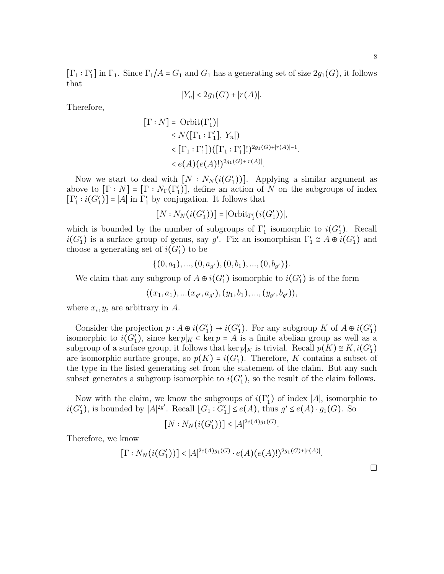$[\Gamma_1 : \Gamma'_1]$  in  $\Gamma_1$ . Since  $\Gamma_1/A = G_1$  and  $G_1$  has a generating set of size  $2g_1(G)$ , it follows that

$$
|Y_n| < 2g_1(G) + |r(A)|.
$$

Therefore,

$$
\begin{aligned} \left[\Gamma : N\right] &= |\text{Orbit}(\Gamma'_1)| \\ &\le N(\left[\Gamma_1 : \Gamma'_1\right], |Y_n|) \\ &< [\Gamma_1 : \Gamma'_1])(\left[\Gamma_1 : \Gamma'_1\right])^{2g_1(G)+|r(A)|-1} \\ &< e(A)(e(A)!)^{2g_1(G)+|r(A)|} .\end{aligned}
$$

.

Now we start to deal with  $[N: N_N(i(G_1'))]$ . Applying a similar argument as above to  $[\Gamma : N] = [\Gamma : N_{\Gamma}(\Gamma_1')]$ , define an action of N on the subgroups of index  $[\Gamma_1': i(G_1')] = |A|$  in  $\Gamma_1'$  by conjugation. It follows that

$$
[N:N_N(i(G'_1))] = |\text{Orbit}_{\Gamma'_1}(i(G'_1))|,
$$

which is bounded by the number of subgroups of  $\Gamma'_1$  isomorphic to  $i(G'_1)$ . Recall  $i(G'_{1})$  is a surface group of genus, say g'. Fix an isomorphism  $\Gamma'_{1} \cong A \oplus i(G'_{1})$  and choose a generating set of  $i(G'_{1})$  to be

$$
\{(0,a_1),..., (0,a_{g'}),(0,b_1),...,(0,b_{g'})\}.
$$

We claim that any subgroup of  $A \oplus i(G'_{1})$  isomorphic to  $i(G'_{1})$  is of the form

 $\langle (x_1, a_1), ... (x_{g'}, a_{g'}), (y_1, b_1), ..., (y_{g'}, b_{g'}) \rangle,$ 

where  $x_i, y_i$  are arbitrary in A.

Consider the projection  $p: A \oplus i(G'_1) \rightarrow i(G'_1)$ . For any subgroup K of  $A \oplus i(G'_1)$ isomorphic to  $i(G'_1)$ , since ker  $p|_K \subset \text{ker } p = A$  is a finite abelian group as well as a subgroup of a surface group, it follows that ker  $p|_K$  is trivial. Recall  $p(K) \cong K$ ,  $i(G'_1)$ are isomorphic surface groups, so  $p(K) = i(G'_1)$ . Therefore, K contains a subset of the type in the listed generating set from the statement of the claim. But any such subset generates a subgroup isomorphic to  $i(G'_1)$ , so the result of the claim follows.

Now with the claim, we know the subgroups of  $i(\Gamma'_1)$  of index |A|, isomorphic to  $i(G'_1)$ , is bounded by  $|A|^{2g'}$ . Recall  $[G_1:G'_1] \leq e(A)$ , thus  $g' \leq e(A) \cdot g_1(G)$ . So

$$
[N: N_N(i(G'_1))] \leq |A|^{2e(A)g_1(G)}.
$$

Therefore, we know

$$
[\Gamma:N_N(i(G'_1))] < |A|^{2e(A)g_1(G)} \cdot e(A)(e(A)!)^{2g_1(G)+|r(A)|}.
$$

 $\Box$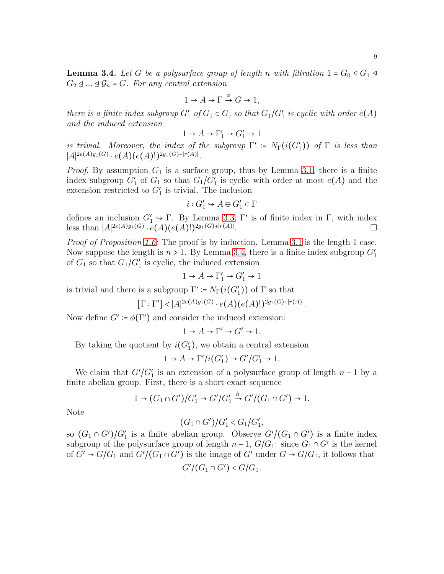<span id="page-8-0"></span>**Lemma 3.4.** *Let* G *be a polysurface group of length* n *with filtration*  $1 = G_0 \trianglelefteq G_1 \trianglelefteq$  $G_2 \trianglelefteq ... \trianglelefteq \mathcal{G}_n = G$ . For any central extension

$$
1 \to A \to \Gamma \xrightarrow{\phi} G \to 1,
$$

*there is a finite index subgroup*  $G'_1$  *of*  $G_1 \subset G$ *, so that*  $G_1/G'_1$  *is cyclic with order*  $e(A)$ *and the induced extension*

$$
1 \to A \to \Gamma'_1 \to G'_1 \to 1
$$

*is trivial. Moreover, the index of the subgroup*  $\Gamma' := N_{\Gamma}(i(G_1'))$  *of*  $\Gamma$  *is less than*  $|A|^{2e(A)g_1(G)} \cdot e(A)(e(A)!)^{2g_1(G)+|r(A)|}.$ 

*Proof.* By assumption  $G_1$  is a surface group, thus by Lemma [3.1,](#page-5-0) there is a finite index subgroup  $G'_1$  of  $G_1$  so that  $G_1/G'_1$  is cyclic with order at most  $e(A)$  and the extension restricted to  $G'_{1}$  is trivial. The inclusion

$$
i: G_1' \hookrightarrow A \oplus G_1' \subset \Gamma
$$

defines an inclusion  $G'_1 \to \Gamma$ . By Lemma [3.3,](#page-6-0)  $\Gamma'$  is of finite index in  $\Gamma$ , with index less than  $|A|^{2e(A)g_1(G)} \cdot e(A)(e(A))^{2g_1(G)+|r(A)|}$ .

*Proof of Proposition [1.6:](#page-1-0)* The proof is by induction. Lemma [3.1](#page-5-0) is the length 1 case. Now suppose the length is  $n > 1$ . By Lemma [3.4,](#page-8-0) there is a finite index subgroup  $G'_1$ of  $G_1$  so that  $G_1/G_1'$  is cyclic, the induced extension

$$
1 \to A \to \Gamma'_1 \to G'_1 \to 1
$$

is trivial and there is a subgroup  $\Gamma' \coloneqq N_{\Gamma}(i(G_1'))$  of  $\Gamma$  so that

$$
[\Gamma : \Gamma'] < |A|^{2e(A)g_1(G)} \cdot e(A)(e(A)!)^{2g_1(G) + |r(A)|}.
$$

Now define  $G' \coloneqq \phi(\Gamma')$  and consider the induced extension:

$$
1 \to A \to \Gamma' \to G' \to 1.
$$

By taking the quotient by  $i(G'_1)$ , we obtain a central extension

$$
1 \to A \to \Gamma'/i(G'_1) \to G'/G'_1 \to 1.
$$

We claim that  $G'/G'_{1}$  is an extension of a polysurface group of length  $n-1$  by a finite abelian group. First, there is a short exact sequence

$$
1 \rightarrow (G_1 \cap G')/G'_1 \rightarrow G'/G'_1 \stackrel{h}{\rightarrow} G'/(G_1 \cap G') \rightarrow 1.
$$

Note

$$
(G_1 \cap G')/G'_1 < G_1/G'_1,
$$

so  $(G_1 \cap G')/G'_1$  is a finite abelian group. Observe  $G'/(G_1 \cap G')$  is a finite index subgroup of the polysurface group of length  $n-1$ ,  $G/G_1$ : since  $G_1 \cap G'$  is the kernel of  $G' \rightarrow G/G_1$  and  $G'/(G_1 \cap G')$  is the image of G' under  $G \rightarrow G/G_1$ , it follows that

$$
G'/(G_1 \cap G') < G/G_1.
$$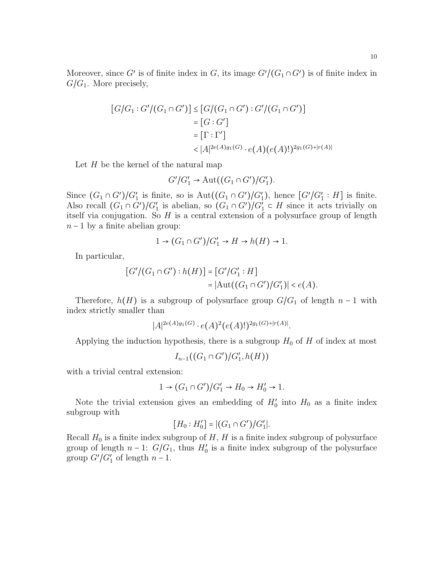$$
[G/G_1: G'/(G_1 \cap G')] \leq [G/(G_1 \cap G'): G'/(G_1 \cap G')]
$$
  
= [G: G']  
= [ \Gamma : \Gamma']  
<  $|A|^{2e(A)g_1(G)} \cdot e(A)(e(A)!)^{2g_1(G)+|r(A)|}$ 

Let  $H$  be the kernel of the natural map

$$
G'/G'_1 \to \mathrm{Aut}((G_1 \cap G')/G'_1).
$$

Since  $(G_1 \cap G')/G'_1$  is finite, so is  $Aut((G_1 \cap G')/G'_1)$ , hence  $[G'/G'_1 : H]$  is finite. Also recall  $(G_1 \cap G')/G'_1$  is abelian, so  $(G_1 \cap G')/G'_1 \subset H$  since it acts trivially on itself via conjugation. So  $H$  is a central extension of a polysurface group of length  $n-1$  by a finite abelian group:

$$
1 \to (G_1 \cap G')/G'_1 \to H \to h(H) \to 1.
$$

In particular,

$$
[G'/(G_1 \cap G'): h(H)] = [G'/G_1': H]
$$
  
= 
$$
|\text{Aut}((G_1 \cap G')/G_1')| < e(A).
$$

Therefore,  $h(H)$  is a subgroup of polysurface group  $G/G_1$  of length  $n-1$  with index strictly smaller than

$$
|A|^{2e(A)g_1(G)} \cdot e(A)^2(e(A)!)^{2g_1(G)+|r(A)|}.
$$

Applying the induction hypothesis, there is a subgroup  $H_0$  of H of index at most

$$
I_{n-1}((G_1 \cap G')/G'_1, h(H))
$$

with a trivial central extension:

$$
1 \rightarrow (G_1 \cap G')/G'_1 \rightarrow H_0 \rightarrow H'_0 \rightarrow 1.
$$

Note the trivial extension gives an embedding of  $H'_0$  into  $H_0$  as a finite index subgroup with

$$
[H_0: H'_0] = |(G_1 \cap G')/G'_1|.
$$

Recall  $H_0$  is a finite index subgroup of H, H is a finite index subgroup of polysurface group of length  $n-1$ :  $G/G_1$ , thus  $H'_0$  is a finite index subgroup of the polysurface group  $G'/G'_{1}$  of length  $n-1$ .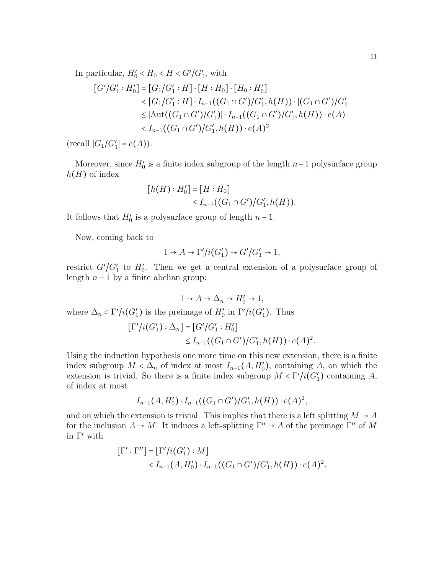In particular,  $H'_0 < H_0 < H < G'/G'_1$ , with

$$
[G'/G_1': H'_0] = [G_1/G_1': H] \cdot [H : H_0] \cdot [H_0 : H'_0]
$$
  

$$
< [G_1/G_1': H] \cdot I_{n-1}((G_1 \cap G')/G_1', h(H)) \cdot |(G_1 \cap G')/G_1'|
$$
  

$$
\leq |\text{Aut}((G_1 \cap G')/G_1')| \cdot I_{n-1}((G_1 \cap G')/G_1', h(H)) \cdot e(A)
$$
  

$$
< I_{n-1}((G_1 \cap G')/G_1', h(H)) \cdot e(A)^2
$$

 $(\text{recall } |G_1/G_1'| = e(A)).$ 

Moreover, since  $H_0'$  is a finite index subgroup of the length  $n-1$  polysurface group  $h(H)$  of index

$$
[h(H):H'_0] = [H:H_0] \le I_{n-1}((G_1 \cap G')/G'_1, h(H)).
$$

It follows that  $H'_0$  is a polysurface group of length  $n-1$ .

Now, coming back to

$$
1 \to A \to \Gamma'/i(G'_1) \to G'/G'_1 \to 1,
$$

restrict  $G'/G'_{1}$  to  $H'_{0}$ . Then we get a central extension of a polysurface group of length  $n-1$  by a finite abelian group:

 $1 \rightarrow A \rightarrow \Delta_n \rightarrow H'_0 \rightarrow 1$ , where  $\Delta_n \subset \Gamma'/i(G'_1)$  is the preimage of  $H'_0$  in  $\Gamma'/i(G'_1)$ . Thus  $[\Gamma'/i(G'_1) : \Delta_n] = [G'/G'_1 : H'_0]$ 

$$
\leq I_{n-1}((G_1 \cap G')/G'_1, h(H)) \cdot e(A)^2.
$$

Using the induction hypothesis one more time on this new extension, there is a finite index subgroup  $M < \Delta_n$  of index at most  $I_{n-1}(A, H'_0)$ , containing A, on which the extension is trivial. So there is a finite index subgroup  $M < \Gamma'/i(G'_1)$  containing A, of index at most

$$
I_{n-1}(A, H_0') \cdot I_{n-1}((G_1 \cap G')/G_1', h(H)) \cdot e(A)^2
$$
,

and on which the extension is trivial. This implies that there is a left splitting  $M \rightarrow A$ for the inclusion  $A \to M$ . It induces a left-splitting  $\Gamma'' \to A$  of the preimage  $\Gamma''$  of M in Γ′ with

$$
\begin{aligned} [\Gamma' : \Gamma''] &= [\Gamma'/i(G_1') : M] \\ &< I_{n-1}(A, H_0') \cdot I_{n-1}((G_1 \cap G')/G_1', h(H)) \cdot e(A)^2. \end{aligned}
$$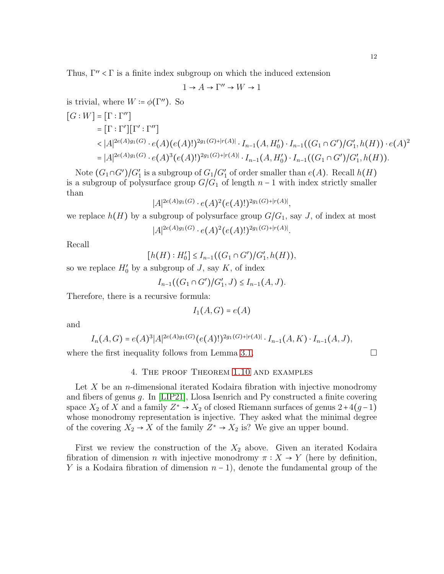Thus,  $\Gamma'' < \Gamma$  is a finite index subgroup on which the induced extension

$$
1\to A\to \Gamma''\to W\to 1
$$

is trivial, where  $W = \phi(\Gamma'')$ . So

$$
[G:W] = [\Gamma : \Gamma']
$$
  
\n
$$
= [\Gamma : \Gamma'] [\Gamma' : \Gamma'']
$$
  
\n
$$
< |A|^{2e(A)g_1(G)} \cdot e(A)(e(A)!)^{2g_1(G)+|r(A)|} \cdot I_{n-1}(A, H_0') \cdot I_{n-1}((G_1 \cap G')/G_1', h(H)) \cdot e(A)^2
$$
  
\n
$$
= |A|^{2e(A)g_1(G)} \cdot e(A)^3(e(A)!)^{2g_1(G)+|r(A)|} \cdot I_{n-1}(A, H_0') \cdot I_{n-1}((G_1 \cap G')/G_1', h(H)).
$$

Note  $(G_1 \cap G')/G'_1$  is a subgroup of  $G_1/G'_1$  of order smaller than  $e(A)$ . Recall  $h(H)$ is a subgroup of polysurface group  $G/G_1$  of length  $n-1$  with index strictly smaller than

$$
|A|^{2e(A)g_1(G)} \cdot e(A)^2(e(A)!)^{2g_1(G)+|r(A)|},
$$

we replace  $h(H)$  by a subgroup of polysurface group  $G/G_1$ , say J, of index at most

$$
|A|^{2e(A)g_1(G)} \cdot e(A)^2(e(A)!)^{2g_1(G)+|r(A)|}.
$$

Recall

$$
[h(H):H_0'] \leq I_{n-1}((G_1 \cap G')/G'_1, h(H)),
$$

so we replace  $H'_0$  by a subgroup of J, say K, of index

$$
I_{n-1}((G_1 \cap G')/G'_1, J) \leq I_{n-1}(A, J).
$$

Therefore, there is a recursive formula:

$$
I_1(A, G) = e(A)
$$

and

$$
I_n(A, G) = e(A)^3 |A|^{2e(A)g_1(G)} (e(A)!)^{2g_1(G)+|r(A)|} \cdot I_{n-1}(A, K) \cdot I_{n-1}(A, J),
$$

where the first inequality follows from Lemma [3.1.](#page-5-0)

## 4. The proof Theorem [1.10](#page-3-0) and examples

Let X be an *n*-dimensional iterated Kodaira fibration with injective monodromy and fibers of genus g. In [\[LIP21\]](#page-20-0), Llosa Isenrich and Py constructed a finite covering space  $X_2$  of X and a family  $Z^* \to X_2$  of closed Riemann surfaces of genus  $2+4(g-1)$ whose monodromy representation is injective. They asked what the minimal degree of the covering  $X_2 \to X$  of the family  $Z^* \to X_2$  is? We give an upper bound.

First we review the construction of the  $X_2$  above. Given an iterated Kodaira fibration of dimension *n* with injective monodromy  $\pi : X \to Y$  (here by definition, Y is a Kodaira fibration of dimension  $n-1$ , denote the fundamental group of the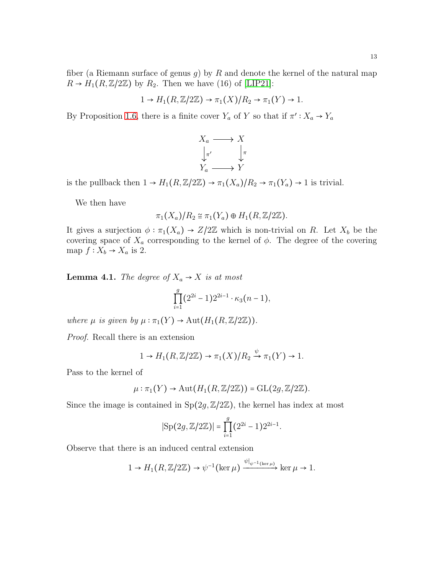fiber (a Riemann surface of genus g) by R and denote the kernel of the natural map  $R \rightarrow H_1(R, \mathbb{Z}/2\mathbb{Z})$  by  $R_2$ . Then we have (16) of [\[LIP21\]](#page-20-0):

$$
1 \to H_1(R, \mathbb{Z}/2\mathbb{Z}) \to \pi_1(X)/R_2 \to \pi_1(Y) \to 1.
$$

By Proposition [1.6,](#page-1-0) there is a finite cover  $Y_a$  of Y so that if  $\pi': X_a \to Y_a$ 



is the pullback then  $1 \to H_1(R,\mathbb{Z}/2\mathbb{Z}) \to \pi_1(X_a)/R_2 \to \pi_1(Y_a) \to 1$  is trivial.

We then have

$$
\pi_1(X_a)/R_2 \cong \pi_1(Y_a) \oplus H_1(R,\mathbb{Z}/2\mathbb{Z}).
$$

It gives a surjection  $\phi : \pi_1(X_a) \to Z/2\mathbb{Z}$  which is non-trivial on R. Let  $X_b$  be the covering space of  $X_a$  corresponding to the kernel of  $\phi$ . The degree of the covering map  $f: X_b \to X_a$  is 2.

<span id="page-12-0"></span>**Lemma 4.1.** *The degree of*  $X_a \rightarrow X$  *is at most* 

$$
\prod_{i=1}^{g} (2^{2i} - 1) 2^{2i-1} \cdot \kappa_3(n-1),
$$

*where*  $\mu$  *is given by*  $\mu : \pi_1(Y) \to \text{Aut}(H_1(R,\mathbb{Z}/2\mathbb{Z}))$ *.* 

*Proof.* Recall there is an extension

$$
1 \to H_1(R, \mathbb{Z}/2\mathbb{Z}) \to \pi_1(X)/R_2 \xrightarrow{\psi} \pi_1(Y) \to 1.
$$

Pass to the kernel of

$$
\mu: \pi_1(Y) \to \mathrm{Aut}(H_1(R,\mathbb{Z}/2\mathbb{Z})) = \mathrm{GL}(2g,\mathbb{Z}/2\mathbb{Z}).
$$

Since the image is contained in  $Sp(2g, \mathbb{Z}/2\mathbb{Z})$ , the kernel has index at most

$$
|\text{Sp}(2g, \mathbb{Z}/2\mathbb{Z})| = \prod_{i=1}^{g} (2^{2i} - 1) 2^{2i-1}.
$$

Observe that there is an induced central extension

$$
1 \to H_1(R, \mathbb{Z}/2\mathbb{Z}) \to \psi^{-1}(\ker \mu) \xrightarrow{\psi|_{\psi^{-1}(\ker \mu)}} \ker \mu \to 1.
$$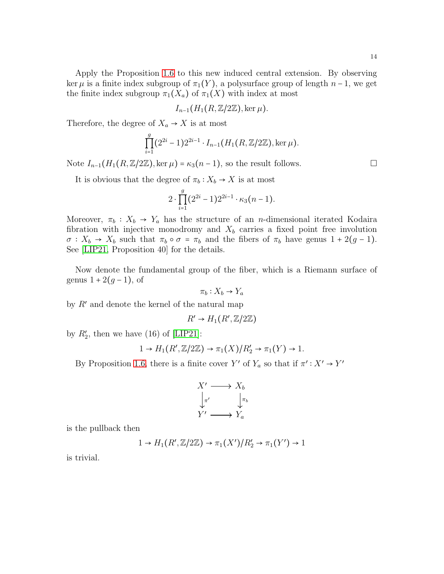Apply the Proposition [1.6](#page-1-0) to this new induced central extension. By observing ker  $\mu$  is a finite index subgroup of  $\pi_1(Y)$ , a polysurface group of length  $n-1$ , we get the finite index subgroup  $\pi_1(X_a)$  of  $\pi_1(X)$  with index at most

$$
I_{n-1}(H_1(R,\mathbb{Z}/2\mathbb{Z}),\ker \mu).
$$

Therefore, the degree of  $X_a \rightarrow X$  is at most

$$
\prod_{i=1}^{g} (2^{2i} - 1) 2^{2i-1} \cdot I_{n-1}(H_1(R, \mathbb{Z}/2\mathbb{Z}), \ker \mu).
$$

Note  $I_{n-1}(H_1(R,\mathbb{Z}/2\mathbb{Z}),\ker \mu) = \kappa_3(n-1)$ , so the result follows.

It is obvious that the degree of  $\pi_b : X_b \to X$  is at most

$$
2 \cdot \prod_{i=1}^{g} (2^{2i} - 1) 2^{2i-1} \cdot \kappa_3(n-1).
$$

Moreover,  $\pi_b : X_b \to Y_a$  has the structure of an *n*-dimensional iterated Kodaira fibration with injective monodromy and  $X_b$  carries a fixed point free involution  $\sigma: X_b \to X_b$  such that  $\pi_b \circ \sigma = \pi_b$  and the fibers of  $\pi_b$  have genus  $1 + 2(g - 1)$ . See [\[LIP21,](#page-20-0) Proposition 40] for the details.

Now denote the fundamental group of the fiber, which is a Riemann surface of genus  $1 + 2(q - 1)$ , of

$$
\pi_b: X_b \to Y_a
$$

by  $R'$  and denote the kernel of the natural map

$$
R' \to H_1(R', \mathbb{Z}/2\mathbb{Z})
$$

by  $R'_2$ , then we have (16) of [\[LIP21\]](#page-20-0):

$$
1 \to H_1(R', \mathbb{Z}/2\mathbb{Z}) \to \pi_1(X)/R'_2 \to \pi_1(Y) \to 1.
$$

By Proposition [1.6,](#page-1-0) there is a finite cover Y' of  $Y_a$  so that if  $\pi' : X' \to Y'$ 

$$
X' \longrightarrow X_b
$$
  
\n
$$
\downarrow_{\pi'}
$$
  
\n
$$
Y' \longrightarrow Y_a
$$

is the pullback then

$$
1 \to H_1(R', \mathbb{Z}/2\mathbb{Z}) \to \pi_1(X')/R'_2 \to \pi_1(Y') \to 1
$$

is trivial.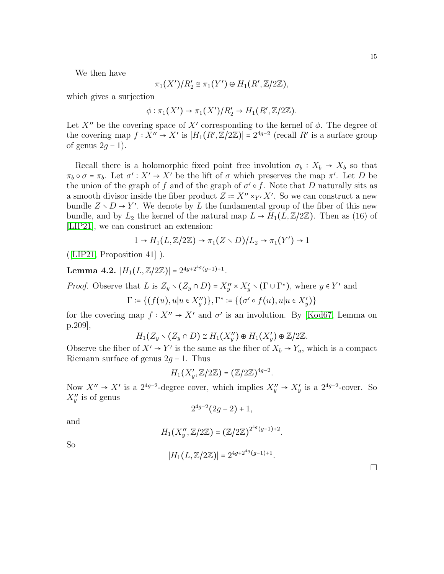We then have

$$
\pi_1(X')/R'_2 \cong \pi_1(Y') \oplus H_1(R',\mathbb{Z}/2\mathbb{Z}),
$$

which gives a surjection

$$
\phi: \pi_1(X') \to \pi_1(X')/R'_2 \to H_1(R',\mathbb{Z}/2\mathbb{Z}).
$$

Let  $X''$  be the covering space of  $X'$  corresponding to the kernel of  $\phi$ . The degree of the covering map  $f: X'' \to X'$  is  $|H_1(R', \mathbb{Z}/2\mathbb{Z})| = 2^{4g-2}$  (recall R' is a surface group of genus  $2q - 1$ ).

Recall there is a holomorphic fixed point free involution  $\sigma_b : X_b \to X_b$  so that  $\pi_b \circ \sigma = \pi_b$ . Let  $\sigma' : X' \to X'$  be the lift of  $\sigma$  which preserves the map  $\pi'$ . Let D be the union of the graph of f and of the graph of  $\sigma' \circ f$ . Note that D naturally sits as a smooth divisor inside the fiber product  $Z = X'' \times_{Y'} X'$ . So we can construct a new bundle  $Z \setminus D \to Y'$ . We denote by L the fundamental group of the fiber of this new bundle, and by  $L_2$  the kernel of the natural map  $L \to H_1(L,\mathbb{Z}/2\mathbb{Z})$ . Then as (16) of [\[LIP21\]](#page-20-0), we can construct an extension:

$$
1 \to H_1(L, \mathbb{Z}/2\mathbb{Z}) \to \pi_1(Z \setminus D)/L_2 \to \pi_1(Y') \to 1
$$

([\[LIP21,](#page-20-0) Proposition 41] ).

Lemma 4.2.  $|H_1(L,\mathbb{Z}/2\mathbb{Z})| = 2^{4g+2^{4g}(g-1)+1}$ .

*Proof.* Observe that L is  $Z_y \setminus (Z_y \cap D) = X''_y \times X'_y \setminus (\Gamma \cup \Gamma^*)$ , where  $y \in Y'$  and  $\Gamma \coloneqq \{ (f(u), u | u \in X''_y) \}, \Gamma^* \coloneqq \{ (\sigma' \circ f(u), u | u \in X'_y) \}$ 

for the covering map  $f: X'' \to X'$  and  $\sigma'$  is an involution. By [\[Kod67,](#page-20-6) Lemma on p.209],

$$
H_1(Z_y \setminus (Z_y \cap D) \cong H_1(X_y'') \oplus H_1(X_y') \oplus \mathbb{Z}/2\mathbb{Z}.
$$

Observe the fiber of  $X' \to Y'$  is the same as the fiber of  $X_b \to Y_a$ , which is a compact Riemann surface of genus  $2g - 1$ . Thus

$$
H_1(X'_y, \mathbb{Z}/2\mathbb{Z}) = (\mathbb{Z}/2\mathbb{Z})^{4g-2}.
$$

Now  $X'' \to X'$  is a 2<sup>4g-2</sup>-degree cover, which implies  $X''_y \to X'_y$  is a 2<sup>4g-2</sup>-cover. So  $X''_y$  is of genus

$$
2^{4g-2}(2g-2)+1,
$$

and

$$
H_1(X''_y,\mathbb{Z}/2\mathbb{Z})=\big(\mathbb{Z}/2\mathbb{Z}\big)^{2^{4g}(g-1)+2}.
$$

So

$$
|H_1(L,\mathbb{Z}/2\mathbb{Z})|=2^{4g+2^{4g}(g-1)+1}.
$$

 $\Box$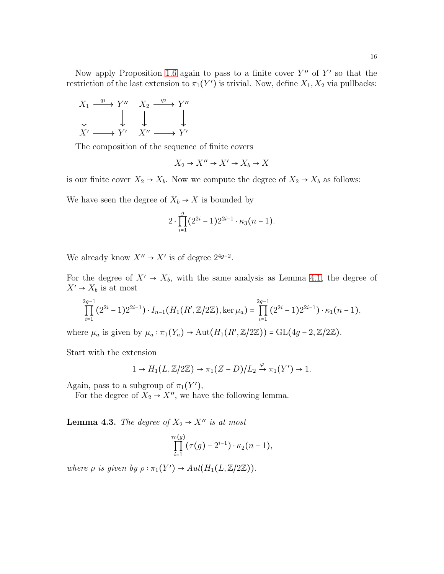$$
X_1 \xrightarrow{q_1} Y'' \quad X_2 \xrightarrow{q_2} Y''
$$
  

$$
\downarrow \qquad \qquad \downarrow \qquad \qquad \downarrow
$$
  

$$
X' \longrightarrow Y' \quad X'' \longrightarrow Y'
$$

The composition of the sequence of finite covers

$$
X_2 \to X'' \to X' \to X_b \to X
$$

is our finite cover  $X_2 \to X_b$ . Now we compute the degree of  $X_2 \to X_b$  as follows:

We have seen the degree of  $X_b \to X$  is bounded by

$$
2 \cdot \prod_{i=1}^{g} (2^{2i} - 1) 2^{2i-1} \cdot \kappa_3(n-1).
$$

We already know  $X'' \to X'$  is of degree  $2^{4g-2}$ .

For the degree of  $X' \rightarrow X_b$ , with the same analysis as Lemma [4.1,](#page-12-0) the degree of  $X' \rightarrow X_b$  is at most

$$
\prod_{i=1}^{2g-1} (2^{2i} - 1) 2^{2i-1} \cdot I_{n-1}(H_1(R', \mathbb{Z}/2\mathbb{Z}), \ker \mu_a) = \prod_{i=1}^{2g-1} (2^{2i} - 1) 2^{2i-1} \cdot \kappa_1(n-1),
$$

where  $\mu_a$  is given by  $\mu_a : \pi_1(Y_a) \to \text{Aut}(H_1(R', \mathbb{Z}/2\mathbb{Z})) = \text{GL}(4g - 2, \mathbb{Z}/2\mathbb{Z}).$ 

Start with the extension

$$
1 \to H_1(L, \mathbb{Z}/2\mathbb{Z}) \to \pi_1(Z-D)/L_2 \xrightarrow{\varphi} \pi_1(Y') \to 1.
$$

Again, pass to a subgroup of  $\pi_1(Y')$ ,

For the degree of  $X_2 \rightarrow X''$ , we have the following lemma.

**Lemma 4.3.** *The degree of*  $X_2 \rightarrow X''$  *is at most* 

$$
\prod_{i=1}^{\tau_0(g)}(\tau(g)-2^{i-1})\cdot\kappa_2(n-1),
$$

*where*  $\rho$  *is given by*  $\rho : \pi_1(Y') \to Aut(H_1(L,\mathbb{Z}/2\mathbb{Z}))$ .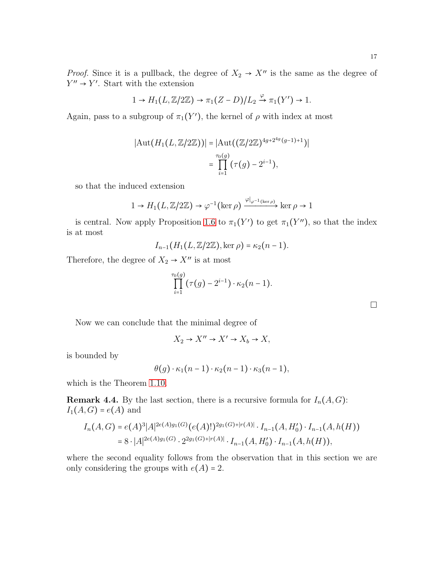*Proof.* Since it is a pullback, the degree of  $X_2 \rightarrow X''$  is the same as the degree of  $Y'' \rightarrow Y'$ . Start with the extension

$$
1 \to H_1(L, \mathbb{Z}/2\mathbb{Z}) \to \pi_1(Z-D)/L_2 \xrightarrow{\varphi} \pi_1(Y') \to 1.
$$

Again, pass to a subgroup of  $\pi_1(Y')$ , the kernel of  $\rho$  with index at most

$$
|\text{Aut}(H_1(L, \mathbb{Z}/2\mathbb{Z}))| = |\text{Aut}((\mathbb{Z}/2\mathbb{Z})^{4g+2^{4g}(g-1)+1})|
$$
  
= 
$$
\prod_{i=1}^{\tau_0(g)} (\tau(g) - 2^{i-1}),
$$

so that the induced extension

$$
1 \to H_1(L, \mathbb{Z}/2\mathbb{Z}) \to \varphi^{-1}(\ker \rho) \xrightarrow{\varphi|_{\varphi^{-1}(\ker \rho)}} \ker \rho \to 1
$$

is central. Now apply Proposition [1.6](#page-1-0) to  $\pi_1(Y')$  to get  $\pi_1(Y'')$ , so that the index is at most

$$
I_{n-1}(H_1(L,\mathbb{Z}/2\mathbb{Z}),\ker \rho)=\kappa_2(n-1).
$$

Therefore, the degree of  $X_2 \to X''$  is at most

$$
\prod_{i=1}^{\tau_0(g)}(\tau(g)-2^{i-1})\cdot\kappa_2(n-1).
$$

Now we can conclude that the minimal degree of

$$
X_2 \to X'' \to X' \to X_b \to X,
$$

is bounded by

$$
\theta(g) \cdot \kappa_1(n-1) \cdot \kappa_2(n-1) \cdot \kappa_3(n-1),
$$

which is the Theorem [1.10.](#page-3-0)

**Remark 4.4.** By the last section, there is a recursive formula for  $I_n(A, G)$ :  $I_1(A, G) = e(A)$  and

$$
I_n(A, G) = e(A)^3 |A|^{2e(A)g_1(G)} (e(A)!)^{2g_1(G)+|r(A)|} \cdot I_{n-1}(A, H'_0) \cdot I_{n-1}(A, h(H))
$$
  
= 8 \cdot |A|^{2e(A)g\_1(G)} \cdot 2^{2g\_1(G)+|r(A)|} \cdot I\_{n-1}(A, H'\_0) \cdot I\_{n-1}(A, h(H)),

where the second equality follows from the observation that in this section we are only considering the groups with  $e(A) = 2$ .

 $\Box$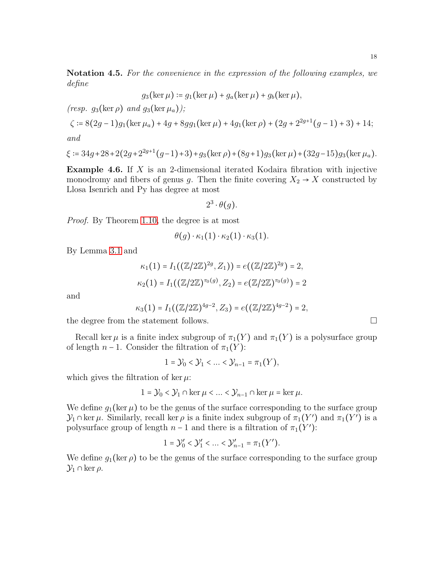Notation 4.5. *For the convenience in the expression of the following examples, we define*

$$
g_3(\ker \mu) \coloneqq g_1(\ker \mu) + g_a(\ker \mu) + g_b(\ker \mu),
$$

*(resp.*  $g_3(\ker \rho)$  *and*  $g_3(\ker \mu_a)$ *)*;

$$
\zeta \coloneqq 8\big(2g-1\big)g_1\big(\ker \mu_a\big)+4g+8gg_1\big(\ker \mu\big)+4g_1\big(\ker \rho\big)+\big(2g+2^{2g+1}\big(g-1\big)+3\big)+14;
$$

*and*

$$
\xi \coloneqq 34g + 28 + 2(2g + 2^{2g+1}(g-1) + 3) + g_3(\ker \rho) + (8g+1)g_3(\ker \mu) + (32g-15)g_3(\ker \mu_a).
$$

**Example 4.6.** If  $X$  is an 2-dimensional iterated Kodaira fibration with injective monodromy and fibers of genus g. Then the finite covering  $X_2 \to X$  constructed by Llosa Isenrich and Py has degree at most

$$
2^3 \cdot \theta(g).
$$

*Proof.* By Theorem [1.10,](#page-3-0) the degree is at most

$$
\theta(g) \cdot \kappa_1(1) \cdot \kappa_2(1) \cdot \kappa_3(1).
$$

By Lemma [3.1](#page-5-0) and

$$
\kappa_1(1) = I_1((\mathbb{Z}/2\mathbb{Z})^{2g}, Z_1)) = e((\mathbb{Z}/2\mathbb{Z})^{2g}) = 2,
$$
  

$$
\kappa_2(1) = I_1((\mathbb{Z}/2\mathbb{Z})^{\tau_0(g)}, Z_2) = e(\mathbb{Z}/2\mathbb{Z})^{\tau_0(g)}) = 2
$$

and

$$
\kappa_3(1) = I_1((\mathbb{Z}/2\mathbb{Z})^{4g-2}, Z_3) = e((\mathbb{Z}/2\mathbb{Z})^{4g-2}) = 2,
$$

the degree from the statement follows.  $\square$ 

Recall ker  $\mu$  is a finite index subgroup of  $\pi_1(Y)$  and  $\pi_1(Y)$  is a polysurface group of length  $n-1$ . Consider the filtration of  $\pi_1(Y)$ :

$$
1 = \mathcal{Y}_0 < \mathcal{Y}_1 < \ldots < \mathcal{Y}_{n-1} = \pi_1(Y),
$$

which gives the filtration of ker  $\mu$ :

$$
1 = \mathcal{Y}_0 < \mathcal{Y}_1 \cap \ker \mu < \dots < \mathcal{Y}_{n-1} \cap \ker \mu = \ker \mu.
$$

We define  $g_1(\ker \mu)$  to be the genus of the surface corresponding to the surface group  $\mathcal{Y}_1 \cap \text{ker } \mu$ . Similarly, recall ker  $\rho$  is a finite index subgroup of  $\pi_1(Y')$  and  $\pi_1(Y')$  is a polysurface group of length  $n-1$  and there is a filtration of  $\pi_1(Y')$ :

$$
1 = \mathcal{Y}'_0 < \mathcal{Y}'_1 < \dots < \mathcal{Y}'_{n-1} = \pi_1(Y').
$$

We define  $g_1(\ker \rho)$  to be the genus of the surface corresponding to the surface group  $\mathcal{Y}_1 \cap \ker \rho$ .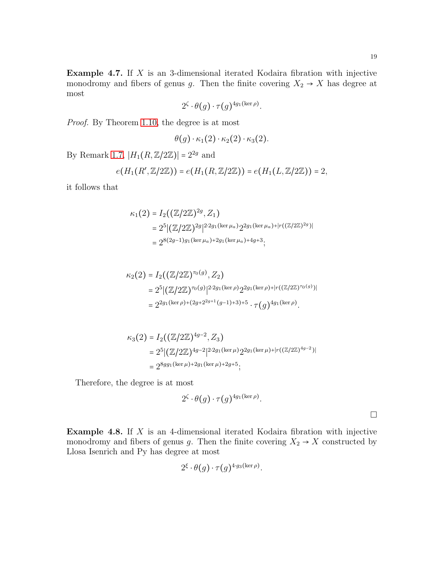$\Box$ 

**Example 4.7.** If  $X$  is an 3-dimensional iterated Kodaira fibration with injective monodromy and fibers of genus g. Then the finite covering  $X_2 \to X$  has degree at most

$$
2^{\zeta} \cdot \theta(g) \cdot \tau(g)^{4g_1(\ker \rho)}.
$$

*Proof.* By Theorem [1.10,](#page-3-0) the degree is at most

$$
\theta(g) \cdot \kappa_1(2) \cdot \kappa_2(2) \cdot \kappa_3(2).
$$

By Remark [1.7,](#page-2-0)  $|H_1(R,\mathbb{Z}/2\mathbb{Z})| = 2^{2g}$  and

$$
e(H_1(R',\mathbb{Z}/2\mathbb{Z})) = e(H_1(R,\mathbb{Z}/2\mathbb{Z})) = e(H_1(L,\mathbb{Z}/2\mathbb{Z})) = 2,
$$

it follows that

$$
\kappa_1(2) = I_2((\mathbb{Z}/2\mathbb{Z})^{2g}, Z_1)
$$
  
=  $2^5 |(\mathbb{Z}/2\mathbb{Z})^{2g}|^{2 \cdot 2g_1(\ker \mu_a)} 2^{2g_1(\ker \mu_a) + |r((\mathbb{Z}/2\mathbb{Z})^{2g})|}$   
=  $2^{8(2g-1)g_1(\ker \mu_a) + 2g_1(\ker \mu_a) + 4g + 3}$ ;

$$
\kappa_2(2) = I_2((\mathbb{Z}/2\mathbb{Z})^{\tau_0(g)}, Z_2)
$$
  
=  $2^5 |(\mathbb{Z}/2\mathbb{Z})^{\tau_0(g)}|^{2 \cdot 2g_1(\ker \rho)} 2^{2g_1(\ker \rho) + |r((\mathbb{Z}/2\mathbb{Z})^{\tau_0(g)})|}$   
=  $2^{2g_1(\ker \rho) + (2g + 2^{2g+1}(g-1) + 3) + 5} \cdot \tau(g)^{4g_1(\ker \rho)}.$ 

$$
\kappa_3(2) = I_2((\mathbb{Z}/2\mathbb{Z})^{4g-2}, Z_3)
$$
  
=  $2^5 |(\mathbb{Z}/2\mathbb{Z})^{4g-2}|^{2 \cdot 2g_1(\ker \mu)} 2^{2g_1(\ker \mu) + |r((\mathbb{Z}/2\mathbb{Z})^{4g-2})|}$   
=  $2^{8g_1(\ker \mu) + 2g_1(\ker \mu) + 2g+5}$ ;

Therefore, the degree is at most

$$
2^{\zeta}\cdot\theta(g)\cdot\tau(g)^{4g_1(\ker\rho)}.
$$

**Example 4.8.** If  $X$  is an 4-dimensional iterated Kodaira fibration with injective monodromy and fibers of genus g. Then the finite covering  $X_2 \to X$  constructed by Llosa Isenrich and Py has degree at most

$$
2^{\xi} \cdot \theta(g) \cdot \tau(g)^{4 \cdot g_3(\ker \rho)}.
$$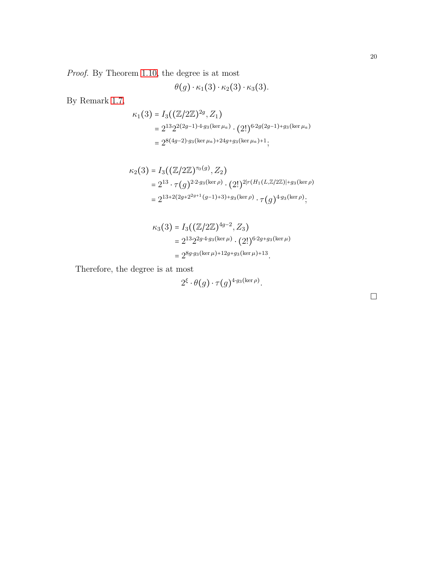*Proof.* By Theorem [1.10,](#page-3-0) the degree is at most

$$
\theta(g) \cdot \kappa_1(3) \cdot \kappa_2(3) \cdot \kappa_3(3).
$$

By Remark [1.7,](#page-2-0)

$$
\kappa_1(3) = I_3((\mathbb{Z}/2\mathbb{Z})^{2g}, Z_1)
$$
  
=  $2^{13} 2^{2(2g-1)\cdot 4g_3(\ker \mu_a)} \cdot (2!)^{6\cdot 2g(2g-1)+g_3(\ker \mu_a)}$   
=  $2^{8(4g-2)\cdot g_3(\ker \mu_a)+24g+g_3(\ker \mu_a)+1};$ 

$$
\kappa_2(3) = I_3((\mathbb{Z}/2\mathbb{Z})^{\tau_0(g)}, Z_2)
$$
  
=  $2^{13} \cdot \tau(g)^{2 \cdot 2 \cdot g_3(\ker \rho)} \cdot (2!)^{2|r(H_1(L, \mathbb{Z}/2\mathbb{Z})|+g_3(\ker \rho)}$   
=  $2^{13+2(2g+2^{2g+1}(g-1)+3)+g_3(\ker \rho)} \cdot \tau(g)^{4 \cdot g_3(\ker \rho)};$ 

$$
\kappa_3(3) = I_3((\mathbb{Z}/2\mathbb{Z})^{4g-2}, Z_3)
$$
  
=  $2^{13} 2^{2g \cdot 4 \cdot g_3(\ker \mu)} \cdot (2!)^{6 \cdot 2g + g_3(\ker \mu)}$   
=  $2^{8g \cdot g_3(\ker \mu) + 12g + g_3(\ker \mu) + 13}$ .

Therefore, the degree is at most

$$
2^{\xi} \cdot \theta(g) \cdot \tau(g)^{4 \cdot g_3(\ker \rho)}.
$$